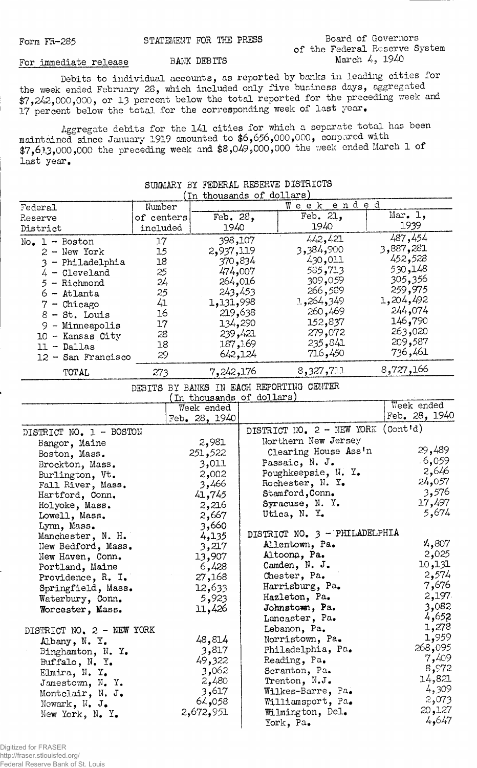## **Board of Governors of the Federal Reserve System** For immediate release BANK DEBITS March 4, 1940

**Debits to individual accounts, as reported by banks in leading cities for the week ended February 28, which included only five business days, aggregated \$7,24-2,000,000, or** 13 **percent below the total reported for the preceding week and 17 percent below the total for the corresponding week of last year.**

**Aggregate debits for the l4l cities for which a separate total has been maintained since January 1919 amounted to \$6,656,000,000, conpared with \$7,61.3,000,000 the preceding week and \$8,049,000,000 the vreelc ended March 1 of last year.**

| In thousands of dollars) |            |            |           |           |  |  |  |
|--------------------------|------------|------------|-----------|-----------|--|--|--|
| Federal                  | Number     | Week ended |           |           |  |  |  |
| Reserve                  | of centers | Feb. 28,   | Feb. 21,  | Mar. 1,   |  |  |  |
| District                 | included   | 1940       | 1940      | 1939      |  |  |  |
| $No. 1 - Boston$         | 17         | 398,107    | 442, 421  | 487,454   |  |  |  |
| $2 - New York$           | 15         | 2,937,119  | 3,384,900 | 3,887,281 |  |  |  |
| 3 - Philadelphia         | 18         | 370,834    | 430,011   | 452,528   |  |  |  |
| $4 - C1$ eveland         | 25         | 474,007    | 585,713   | 530,148   |  |  |  |
| 5 - Richmond             | 24         | 264,016    | 309,059   | 305,356   |  |  |  |
| $6 -$ Atlanta            | 25         | 243,453    | 266,589   | 259,975   |  |  |  |
| $7$ - Chicago            | 41         | 1,131,998  | 1,264,349 | 1,204,492 |  |  |  |
| $8 - St.$ Louis          | 16         | 219,638    | 260,469   | 244,074   |  |  |  |
| $9 -$ Minneapolis        | 17         | 134,290    | 152,837   | 146,790   |  |  |  |
| $10$ - Kansas City       | 28         | 239,421    | 279,072   | 263,020   |  |  |  |
| $11 - Dallas$            | 18         | 187,169    | 235,841   | 209,587   |  |  |  |
| 12 - San Francisco       | 29         | 642,124    | 716,450   | 736,461   |  |  |  |
| TOTAL                    | 273        | 7,242,176  | 8,327,711 | 8,727,166 |  |  |  |

## **SUMMARY BY FEDERAL RESERVE DISTRICTS**

**DEBITS BY BANKS IN EACH REPORTING CENTER**

|                           | (In thousands of dollars) |                                    |                 |
|---------------------------|---------------------------|------------------------------------|-----------------|
|                           | Week ended                |                                    | Week ended      |
|                           | Feb. 28, 1940             |                                    | Feb. $28, 1940$ |
| DISTRICT NO. 1 - BOSTON   |                           | DISTRICT NO. 2 - NEW YORK (Cont'd) |                 |
| Bangor, Maine             | 2,981                     | Northern New Jersey                |                 |
| Boston, Mass.             | 251,522                   | Clearing House Ass'n               | 29,489          |
| Brockton, Mass.           | 3,011                     | Passaic, N. J.                     | .6,059          |
| Burlington, Vt.           | 2,002                     | Poughkeepsie, N. Y.                | 2,646           |
| Fall River, Mass.         | 3,466                     | Rochester, N. Y.                   | 24,057          |
| Hartford, Conn.           | 41,745                    | Stamford, Conn.                    | 3,576           |
| Holyoke, Mass.            | 2,216                     | Syracuse, N. Y.                    | 17,497          |
| Lowell, Mass.             | 2,667                     | Utica, N. Y.                       | 5,674           |
| Lynn, Mass.               | 3,660                     |                                    |                 |
| Manchester, N. H.         | 4,135                     | DISTRICT NO. 3 - PHILADELPHIA      |                 |
| New Bedford, Mass.        | 3,217                     | Allentown, Pa.                     | 4,807           |
| New Haven, Conn.          | 13,907                    | Altoona, Pa.                       | 2,025           |
| Portland, Maine           | 6,428                     | Camden, N. J.                      | 10,131          |
| Providence, R. I.         | 27,168                    | Chester, Pa.                       | 2,574           |
| Springfield, Mass.        | 12,633                    | Harrisburg, Pa.                    | 7,676           |
| Waterbury, Conn.          | 5,923                     | Hazleton, Pa.                      | 2,197           |
| Worcester, Mass.          | 11,426                    | Johnstown, Pa.                     | 3,082           |
|                           |                           | Lancaster, Pa.                     | 4,652           |
| DISTRICT NO. 2 - NEW YORK |                           | Lebanon, Pa.                       | 1,278           |
| Albany, N. Y.             | 48,814                    | Norristown, Pa.                    | 1,959           |
| Binghamton, N. Y.         | 3,817                     | Philadelphia, Pa.                  | 268,095         |
| Buffalo, N. Y.            | 49,322                    | Reading, Pa.                       | 7,409           |
| Elmira, N. Y.             | 3,062                     | Scranton, Pa.                      | 8,972           |
| Jamestown, N. Y.          | 2,480                     | Trenton, $N.J.$                    | 14,821          |
| Montclair, N. J.          | 3,617                     | Wilkes-Barre, Pa.                  | 4,309           |
| Newark, $N_{\bullet}$ J.  | 64,058                    | Williamsport, Pa.                  | 2,073           |
| New York, N. Y.           | 2,672,951                 | Wilmington, Del.                   | 20,127          |
|                           |                           | York, Pa.                          | 4,647           |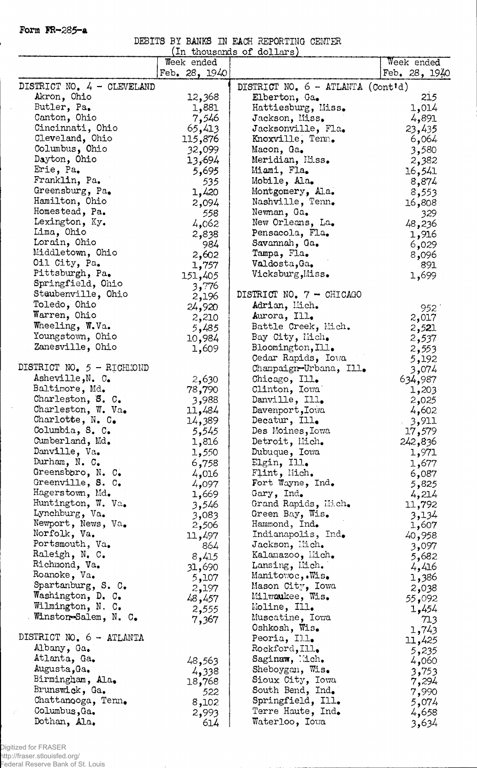**Form Ht-285-a**

 $\hat{\mathcal{A}}$ 

 $\hat{\mathcal{A}}$ 

**DEBITS BY BANKS IN EACH REPORTING CENTER**

|                                           |                 | (In thousands of dollars)                  |                 |
|-------------------------------------------|-----------------|--------------------------------------------|-----------------|
|                                           | Week ended      |                                            | Week ended      |
|                                           | Feb. $28, 1940$ |                                            | Feb. $28, 1940$ |
| DISTRICT NO. 4 - CLEVELAND<br>Akron, Ohio |                 | DISTRICT NO. $6 - \text{ATLANTA}$ (Cont'd) | 215             |
| Butler, Pa.                               | 12,368          | Elberton, Ga.                              |                 |
|                                           | 1,881           | Hattiesburg, Miss.                         | 1,014           |
| Canton, Ohio                              | 7,546           | Jackson, Miss.                             | 4,891           |
| Cincinnati, Ohio                          | 65,413          | Jacksonville, Fla.                         | 23,435          |
| Cleveland, Ohio                           | 115,876         | Knoxville, Tenn.                           | 6,064           |
| Columbus, Ohio                            | 32,099          | Macon, Ga.                                 | 3,580           |
| Dayton, Ohio                              | 13,694          | Meridian, Eiss.                            | 2,382           |
| Erie, Pa.                                 | 5,695           | Miami, Fla.                                | 16,541          |
| Franklin, Pa.                             | 535             | Mobile, Ala.                               | 8,874           |
| Greensburg, Pa.                           | 1,420           | Montgomery, Ala.                           | 8,553           |
| Hamilton, Ohio                            | 2,094           | Nashville, Tenn.                           | 16,808          |
| Homestead, Pa.                            | 558             | Newman, Ga.                                | 329             |
| Lexington, Ky.                            | 4,062           | New Orleans, La.                           | 48,236          |
| Lima, Ohio                                | 2,838           | Pensacola, Fla.                            | 1,916           |
| Lorain, Ohio                              | 984             | Savannah, Ga.                              | 6,029           |
| Middletown, Ohio                          | 2,602           | Tampa, Fla.                                | 8,096           |
| Oil City, Pa.                             | 1,757           | Valdosta, Ga.                              | 891             |
| Pittsburgh, Pa.                           | 151,405         | Vicksburg, Miss.                           | 1,699           |
| Springfield, Ohio                         | 3,776           |                                            |                 |
| Staubenville, Ohio                        | 2,196           | DISTRICT NO. 7 - CHICAGO                   |                 |
| Toledo, Ohio                              | 24,920          | Adrian, Mich.                              |                 |
| Warren, Ohio                              |                 | Aurora, Ill.                               | 952             |
| Wheeling, W.Va.                           | 2,210           | Battle Creek, Mich.                        | 2,017           |
| Youngstown, Ohio                          | 5,485           | Bay City, Mich.                            | 2,521           |
| Zanesville, Ohio                          | 10,984          | Bloomington, Ill.                          | 2,537           |
|                                           | 1,609           |                                            | 2,553           |
| DISTRICT NO. 5 - RICHMOND                 |                 | Cedar Rapids, Iova                         | 5,192           |
|                                           |                 | Champaign-Urbana, Ill.                     | 3,074           |
| Asheville, N. C.                          | 2,630           | Chicago, Ill.                              | 634,987         |
| Baltimore, Md.                            | 78,790          | Clinton, Iowa                              | 1,203           |
| Charleston, S. C.                         | 3,988           | Danville, Ill.                             | 2,025           |
| Charleston, W. Va.                        | 11,484          | Davenport, Iowa                            | 4,602           |
| Charlotte, $N_e$ . C.                     | 14,389          | Decatur, Ill.                              | 3,911           |
| Columbia, S. C.                           | 5,545           | Des Moines, Iowa                           | 17,579          |
| Cumberland, Md.                           | 1,816           | Detroit, Mich.                             | 242,836         |
| Danville, Va.                             | 1,550           | Dubuque, Iowa                              | 1,971           |
| Durham, N. C.                             | 6,758           | Elgin, Ill.                                | 1,677           |
| Greensboro, N. C.                         | 4,016           | Flint, Mich.                               | 6,087           |
| Greenville, S. C.                         | 4,097           | Fort Wayne, Ind.                           | 5,825           |
| Hagerstown, Md.                           | 1,669           | Gary, Ind.                                 | 4,214           |
| Huntington, W. Va.                        | 3,546           | Grand Rapids, Mich.                        | 11,792          |
| Lynchburg, Va.                            | 3,083           | Green Bay, Wis.                            | 3,134           |
| Newport, News, Va.                        | 2,506           | Hammond, Ind.                              | 1,607           |
| Norfolk, Va.                              | 11,497          | Indianapolis, Ind.                         | 40,958          |
| Portsmouth, Va.                           | 864             | Jackson, Hich.                             | 3,097           |
| Raleigh, N. C.                            | 8,415           | Kalamazoo, Mich.                           | 5,682           |
| Richmond, Va.                             | 31,690          | Lansing, Mich.                             | 4,416           |
| Roanoke, Va.                              | 5,107           | Manitowoc,.Wis.                            | 1,386           |
| Spartanburg, S. C.                        | 2,197           | Mason City, Iowa                           | 2,038           |
| Washington, D. C.                         |                 | Milwaukee, Wis.                            |                 |
| Wilmington, N. C.                         | 48,457          | Moline, Ill.                               | 55,092          |
| Winston-Salem, N. C.                      | 2,555           | Muscatine, Iowa                            | 1,454           |
|                                           | 7,367           | Oshkosh, Wis.                              | 713             |
| DISTRICT NO. 6 - ATLANTA                  |                 | Peoria, Ill.                               | 1,743           |
| Albany, Ga.                               |                 |                                            | 11,425          |
|                                           |                 | Rockford, Ill.                             | 5,235           |
| Atlanta, Ga.                              | 48,563          | Saginaw, lich.                             | 4,060           |
| Augusta, Ga.                              | 4,338           | Sheboygan, Wis.                            | 3,753           |
| Birmingham, Ala.                          | 18,768          | Sioux City, Iowa                           | 7,294           |
| Brunswick, Ga.                            | 522             | South Bend, Ind.                           | 7,990           |
| Chattanooga, Tenn.                        | 8,102           | Springfield, Ill.                          | 5,074           |
| Columbus, Ga.                             | 2,993           | Terre Haute, Ind.                          | 4,658           |
| Dothan, Ala.                              | 614             | Waterloo, Iowa                             | 3,634           |

Digitized for FRASER

http://fraser.stlouisfed.org/ Federal Reserve Bank of St. Louis